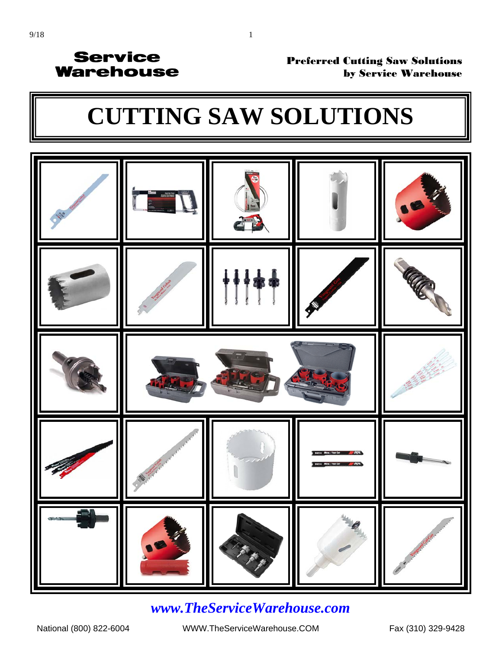#### Preferred Cutting Saw Solutions by Service Warehouse

# **[CUTTING SAW SOLUTIONS](http://www.servicewarehouse.net/mm5/merchant.mvc?Screen=CTGY&Store_Code=OC&Category_Code=FOCSAB)**



### *www.TheServiceWarehouse.com*

National (800) 822-6004 WWW.TheServiceWarehouse.COM Fax (310) 329-9428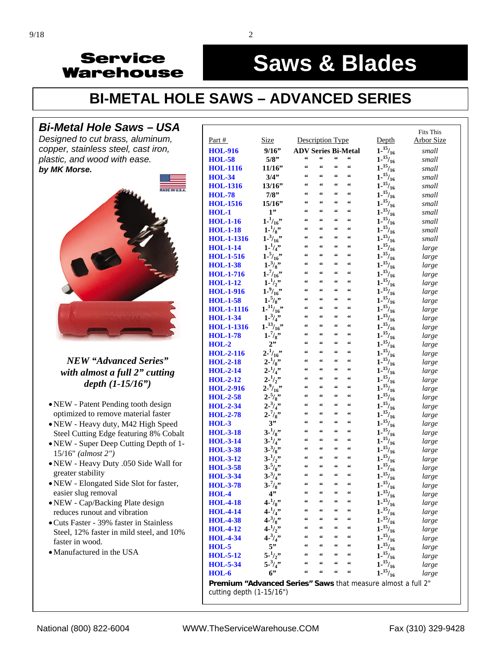#### į **Saws & Blades**

# **[BI-METAL HOLE SAWS – ADVANCED SERIES](http://www.servicewarehouse.net/mm5/merchant.mvc?Screen=CTGY&Store_Code=OC&Category_Code=FOCSABHMETALMA)**

#### *Bi-Metal Hole Saws* **–** *USA*

*Designed to cut brass, aluminum, copper, stainless steel, cast iron, plastic, and wood with ease. by MK Morse.* 



#### *NEW "Advanced Series" [with almost a full 2" cutting](http://www.servicewarehouse.net/mm5/merchant.mvc?Screen=CTGY&Store_Code=OC&Category_Code=FOCSABHMETALMA)  depth (1-15/16")*

- NEW Patent Pending tooth design optimized to remove material faster
- NEW Heavy duty, M42 High Speed Steel Cutting Edge featuring 8% Cobalt
- NEW Super Deep Cutting Depth of 1- 15/16" *(almost 2")*
- NEW Heavy Duty .050 Side Wall for greater stability
- NEW Elongated Side Slot for faster, easier slug removal
- NEW Cap/Backing Plate design reduces runout and vibration
- Cuts Faster 39% faster in Stainless Steel, 12% faster in mild steel, and 10% faster in wood.
- Manufactured in the USA

|                                                                                          |                       |                                                  |                                                  |                                                  |            |                     | <b>Fits This</b>  |
|------------------------------------------------------------------------------------------|-----------------------|--------------------------------------------------|--------------------------------------------------|--------------------------------------------------|------------|---------------------|-------------------|
| Part $#$                                                                                 | <b>Size</b>           | Description Type                                 |                                                  |                                                  |            | Depth               | <b>Arbor Size</b> |
| <b>HOL-916</b>                                                                           | 9/16"                 | <b>ADV Series Bi-Metal</b>                       |                                                  |                                                  |            | $1 - \frac{15}{16}$ | small             |
| <b>HOL-58</b>                                                                            | 5/8"                  | 66                                               | 66                                               | $\boldsymbol{\varsigma}\,\boldsymbol{\varsigma}$ | "          | $1^{-15}/_{16}$     | small             |
| <b>HOL-1116</b>                                                                          | 11/16"                | 66                                               | 66                                               | 66                                               | 66         | $1 - \frac{15}{16}$ | small             |
| <b>HOL-34</b>                                                                            | 3/4"                  | 66                                               | 66                                               | 66                                               | 66         | $1 - \frac{15}{16}$ | small             |
| <b>HOL-1316</b>                                                                          | 13/16"                | 66                                               | 66                                               | 66                                               | 66         | $1 - \frac{15}{16}$ | small             |
| <b>HOL-78</b>                                                                            | 7/8"                  | 66                                               | 66                                               | 66                                               | $\epsilon$ | $1 - \frac{15}{16}$ | small             |
| <b>HOL-1516</b>                                                                          | 15/16"                | 66                                               | 66                                               | 66                                               | 66         | $1 - \frac{15}{16}$ | small             |
| $HOL-1$                                                                                  | 1"                    | 66                                               | 66                                               | 66                                               | 66         | $1 - \frac{15}{16}$ | small             |
| <b>HOL-1-16</b>                                                                          | $1 - \frac{1}{16}$    | 66                                               | 66                                               | 66                                               | 66         | $1 - \frac{15}{16}$ | small             |
| <b>HOL-1-18</b>                                                                          | $1 - \frac{1}{8}$     | 66                                               | 66                                               | 66                                               | 66         | $1^{15}/_{16}$      | small             |
| <b>HOL-1-1316</b>                                                                        | $1 - \frac{3}{16}$    | 66                                               | 66                                               | 66                                               | 66         | $1 - \frac{15}{16}$ | small             |
| <b>HOL-1-14</b>                                                                          | $1 - \frac{1}{4}$     | 66                                               | 66                                               | 66                                               | 66         | $1 - \frac{15}{16}$ | large             |
| <b>HOL-1-516</b>                                                                         | $1 - \frac{5}{16}$    | 66                                               | $\boldsymbol{\varsigma}$                         | 66                                               | 66         | 1.15/16             | large             |
| <b>HOL-1-38</b>                                                                          | $1 - \frac{3}{8}$     | 66                                               | $\boldsymbol{\zeta}\boldsymbol{\zeta}$           | 66                                               | 66         | $1^{-15}/_{16}$     | large             |
| <b>HOL-1-716</b>                                                                         | $1 - \frac{7}{16}$    | 66                                               | 66                                               | 66                                               | 66         | 1.15/16             | large             |
| <b>HOL-1-12</b>                                                                          | $1 - \frac{1}{2}$     | 66                                               | 66                                               | 66                                               | 66         | $1 - \frac{15}{16}$ | large             |
| <b>HOL-1-916</b>                                                                         | $1 - \frac{9}{16}$    | 66                                               | 66                                               | 66                                               | 66         | $1 - \frac{15}{16}$ | large             |
| <b>HOL-1-58</b>                                                                          | $1 - \frac{5}{8}$     | 66                                               | 66                                               | 66                                               | 66         | $1^{-15}/_{16}$     | large             |
| <b>HOL-1-1116</b>                                                                        | $1 - \frac{11}{16}$   | 66                                               | 66                                               | 66                                               | 66         | $1^{-15}/_{16}$     | large             |
| <b>HOL-1-34</b>                                                                          | $1 - \frac{3}{4}$     | 66                                               | $\boldsymbol{\zeta}\boldsymbol{\zeta}$           | 66                                               | 66         | 1.15/16             | large             |
| <b>HOL-1-1316</b>                                                                        | $1 - {^{13}/_{16}}$ " | 66                                               | 66                                               | 66                                               | 66         | 1.15/16             | large             |
| <b>HOL-1-78</b>                                                                          | $1 - \frac{7}{8}$     | 66                                               | 66                                               | 66                                               | 66         | $1 - \frac{15}{16}$ | large             |
| $HOL-2$                                                                                  | 2"                    | 66                                               | 66                                               | 66                                               | 66         | 1.15/16             | large             |
| <b>HOL-2-116</b>                                                                         | $2^{-1}/_{16}$ "      | 66                                               | 66                                               | 66                                               | 66         | 1.15/16             | large             |
| <b>HOL-2-18</b>                                                                          | $2 - \frac{1}{8}$     | 66                                               | 66                                               | 66                                               | 66         | $1 - \frac{15}{16}$ | large             |
| $HOL-2-14$                                                                               | $2^{-1}/_{4}$ "       | 66                                               | $\boldsymbol{\zeta}\boldsymbol{\zeta}$           | 66                                               | 66         | $1 - \frac{15}{16}$ | large             |
| $HOL-2-12$                                                                               | $2 - \frac{1}{2}$     | 66                                               | 66                                               | 66                                               | 66         | $1 - \frac{15}{16}$ | large             |
| <b>HOL-2-916</b>                                                                         | $2 - \frac{9}{16}$    | 66                                               | 66                                               | 66                                               | 66         | 1.15/16             | large             |
| <b>HOL-2-58</b>                                                                          | $2 - \frac{5}{8}$     | 66                                               | 66                                               | 66                                               | 66         | $1 - \frac{15}{16}$ | large             |
| <b>HOL-2-34</b>                                                                          | $2 - \frac{3}{4}$     | 66                                               | 66                                               | 66                                               | 66         | $1 - \frac{15}{16}$ | large             |
| <b>HOL-2-78</b>                                                                          | $2 - \frac{7}{8}$     | 66                                               | $\boldsymbol{\zeta}\boldsymbol{\zeta}$           | 66                                               | 66         | $1 - \frac{15}{16}$ | large             |
| $HOL-3$                                                                                  | 3"                    | 66                                               | 66                                               | 66                                               | 66         | $1 - \frac{15}{16}$ | large             |
| <b>HOL-3-18</b>                                                                          | $3 - \frac{1}{8}$     | 66                                               | $\boldsymbol{\zeta}\boldsymbol{\zeta}$           | 66                                               | 66         | 1.15/16             | large             |
| <b>HOL-3-14</b>                                                                          | $3 - \frac{1}{4}$     | 66                                               | $\boldsymbol{\zeta}\boldsymbol{\zeta}$           | 66                                               | 66         | $1 - \frac{15}{16}$ | large             |
| <b>HOL-3-38</b>                                                                          | $3 - \frac{3}{8}$     | 66                                               | 66                                               | 66                                               | 66         | $1 - \frac{15}{16}$ | large             |
| <b>HOL-3-12</b>                                                                          | $3 - \frac{1}{2}$     | 66                                               | 66                                               | 66                                               | 66         | $1 - \frac{15}{16}$ | large             |
| <b>HOL-3-58</b>                                                                          | $3 - \frac{5}{8}$     | 66                                               | $\boldsymbol{\zeta}\boldsymbol{\zeta}$           | 66                                               | 66         | $1 - \frac{15}{16}$ | large             |
| <b>HOL-3-34</b>                                                                          | $3 - \frac{3}{4}$     | $\boldsymbol{\varsigma}\,\boldsymbol{\varsigma}$ | $\boldsymbol{\zeta}\boldsymbol{\zeta}$           | 66                                               | 66         | $1 - \frac{15}{16}$ | large             |
| <b>HOL-3-78</b>                                                                          | $3 - \frac{7}{8}$     | $\boldsymbol{\varsigma}\,\boldsymbol{\varsigma}$ | $\boldsymbol{\varsigma}$                         | 66                                               | 66         | $1^{-15}/_{16}$     | large             |
| HOL-4                                                                                    | 4"                    |                                                  |                                                  |                                                  |            | $1 - \frac{15}{16}$ | large             |
| <b>HOL-4-18</b>                                                                          | $4 - \frac{1}{8}$     | 66                                               | $\boldsymbol{\zeta}\boldsymbol{\zeta}$           | 66                                               | 66         | $1 - \frac{15}{16}$ | large             |
| <b>HOL-4-14</b>                                                                          | $4 - \frac{1}{4}$     | $\boldsymbol{\varsigma}\,\boldsymbol{\varsigma}$ | 66                                               | $\epsilon$                                       | 66         | $1^{-15}/_{16}$     | large             |
| <b>HOL-4-38</b>                                                                          | 4.3/8                 | 66                                               | $\boldsymbol{\zeta}\boldsymbol{\zeta}$           | 66                                               | 66         | 1.15/16             | large             |
| <b>HOL-4-12</b>                                                                          | $4 - \frac{1}{2}$     | $\epsilon$                                       | $\boldsymbol{\varsigma}$                         | $\zeta\,\zeta$                                   | 66         | $1^{15}/_{16}$      | large             |
| <b>HOL-4-34</b>                                                                          | $4 - \frac{3}{4}$     | $\boldsymbol{\varsigma}\,\boldsymbol{\varsigma}$ | $\boldsymbol{\varsigma}\,\boldsymbol{\varsigma}$ | $\boldsymbol{\zeta}\boldsymbol{\zeta}$           | 66         | $1 - \frac{15}{16}$ | large             |
| $HOL-5$                                                                                  | $5$ "                 | 66                                               | 66                                               | 66                                               | 66         | $1 - \frac{15}{16}$ | large             |
| <b>HOL-5-12</b>                                                                          | $5 - \frac{1}{2}$     | $\boldsymbol{\varsigma}\,\boldsymbol{\varsigma}$ | $\boldsymbol{\varsigma}\,\boldsymbol{\varsigma}$ | $\epsilon$                                       | 66         | 1.15/16             | large             |
| <b>HOL-5-34</b>                                                                          | $5 - \frac{3}{4}$     | 66                                               | 66                                               | 66                                               | 66         | $1 - \frac{15}{16}$ | large             |
| $HOL-6$                                                                                  | 6                     | $\epsilon$                                       | 66                                               | $\zeta\,\zeta$                                   | 66         | 1.15/16             | large             |
|                                                                                          |                       |                                                  |                                                  |                                                  |            |                     |                   |
| Premium "Advanced Series" Saws that measure almost a full 2"<br>cutting depth (1-15/16") |                       |                                                  |                                                  |                                                  |            |                     |                   |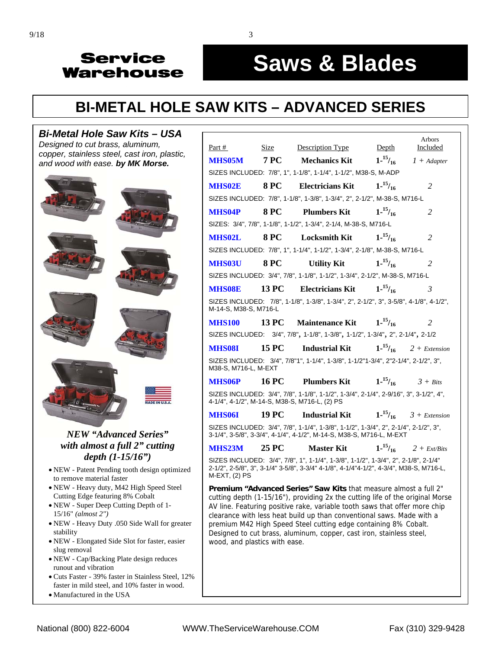# **Saws & Blades**

# **[BI-METAL HOLE SAW KITS – ADVANCED SERIES](http://www.servicewarehouse.net/mm5/merchant.mvc?Screen=CTGY&Store_Code=OC&Category_Code=FOCHOLESAWKITS)**

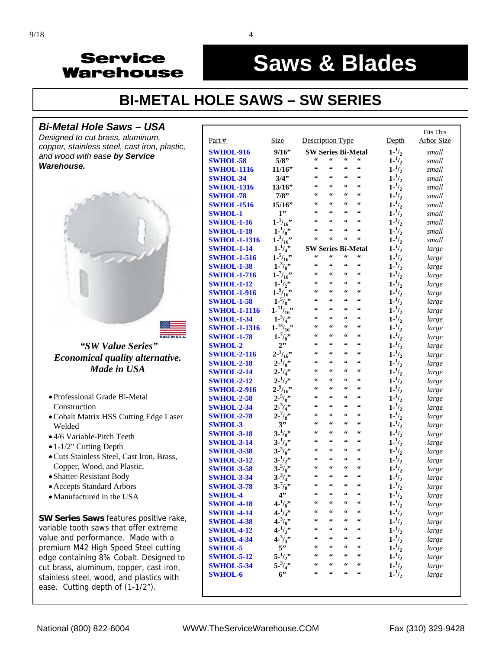#### į **Saws & Blades**

## **[BI-METAL HOLE SAWS – SW SERIES](http://www.servicewarehouse.net/mm5/merchant.mvc?Screen=CTGY&Store_Code=OC&Category_Code=FOCSABHMETALSW)**

#### *Bi-Metal Hole Saws* **–** *USA*

*Designed to cut brass, aluminum, copper, stainless steel, cast iron, plastic, and wood with ease by Service Warehouse.*



- Professional Grade Bi-Metal Construction
- Cobalt Matrix HSS Cutting Edge Laser Welded
- 4/6 Variable-Pitch Teeth
- 1-1/2" Cutting Depth
- Cuts Stainless Steel, Cast Iron, Brass, Copper, Wood, and Plastic,
- Shatter-Resistant Body
- Accepts Standard Arbors
- Manufactured in the USA

**SW Series Saws** features positive rake, variable tooth saws that offer extreme value and performance. Made with a premium M42 High Speed Steel cutting edge containing 8% Cobalt. Designed to cut brass, aluminum, copper, cast iron, stainless steel, wood, and plastics with ease. Cutting depth of (1-1/2").

|                     |                            |                                                  |                                                  |                                                  |                                                  |                                        | <b>Fits This</b> |  |
|---------------------|----------------------------|--------------------------------------------------|--------------------------------------------------|--------------------------------------------------|--------------------------------------------------|----------------------------------------|------------------|--|
| Part #              | <b>Size</b>                | Description Type                                 |                                                  |                                                  |                                                  | Depth                                  | Arbor Size       |  |
| <b>SWHOL-916</b>    | 9/16"                      | <b>SW Series Bi-Metal</b>                        |                                                  |                                                  |                                                  | $1 - \frac{1}{2}$                      | small            |  |
| <b>SWHOL-58</b>     | 5/8"                       | $\boldsymbol{\varsigma}\,\boldsymbol{\varsigma}$ | 66                                               | $\boldsymbol{\varsigma}\,\boldsymbol{\varsigma}$ | 66                                               | $1 - \frac{1}{2}$                      | small            |  |
| <b>SWHOL-1116</b>   | 11/16"                     | $\zeta\,\zeta$                                   | $\boldsymbol{\zeta} \boldsymbol{\zeta}$          | 66                                               | 66                                               | $1 - \frac{1}{2}$                      | small            |  |
| <b>SWHOL-34</b>     | 3/4"                       | 66                                               | $\zeta \zeta$                                    | $\boldsymbol{\varsigma}\,\boldsymbol{\varsigma}$ | 66                                               | $1 - \frac{1}{2}$                      | small            |  |
| <b>SWHOL-1316</b>   | 13/16"                     | $\zeta\,\zeta$                                   | $\zeta\,\zeta$                                   | $\boldsymbol{\zeta}\boldsymbol{\zeta}$           | $\zeta \zeta$                                    | $1 - \frac{1}{2}$                      | small            |  |
| <b>SWHOL-78</b>     | 7/8"                       | 66                                               | $\zeta\,\zeta$                                   | $\zeta\,\zeta$                                   | $\zeta\,\zeta$                                   | $1 - \frac{1}{2}$                      | small            |  |
| <b>SWHOL-1516</b>   | 15/16"                     | $\zeta\,\zeta$                                   | $\zeta\,\zeta$                                   | $\zeta\,\zeta$                                   | $\zeta\,\zeta$                                   | $1 - \frac{1}{2}$                      | small            |  |
| <b>SWHOL-1</b>      | 1"                         | $\zeta\,\zeta$                                   | $\zeta\,\zeta$                                   | $\epsilon\epsilon$                               | $\boldsymbol{\zeta}\boldsymbol{\zeta}$           | $1 - \frac{1}{2}$                      | small            |  |
| <b>SWHOL-1-16</b>   | $1 - \frac{1}{16}$         | $\zeta\,\zeta$                                   | $\boldsymbol{\varsigma}\,\boldsymbol{\varsigma}$ | $\epsilon$                                       | 66                                               | $1 - \frac{1}{2}$                      | small            |  |
| <b>SWHOL-1-18</b>   | $1 - \frac{1}{8}$          | 66                                               | 66                                               | 66                                               | 66                                               | $1 - \frac{1}{2}$                      | small            |  |
| <b>SWHOL-1-1316</b> | $1 - \frac{3}{16}$         | 66                                               | $\zeta$                                          | 66                                               | 66                                               | $1 - \frac{1}{2}$                      | small            |  |
| <b>SWHOL-1-14</b>   | $1 - \frac{1}{4}$          | <b>SW Series Bi-Metal</b>                        |                                                  |                                                  |                                                  | $1 - \frac{1}{2}$                      | large            |  |
| <b>SWHOL-1-516</b>  | $1 - \frac{5}{16}$ "       | $\boldsymbol{\varsigma}$                         | $\boldsymbol{\varsigma}\,\boldsymbol{\varsigma}$ | $\boldsymbol{\varsigma}$                         | $\boldsymbol{\varsigma}\,\boldsymbol{\varsigma}$ | $1 - \frac{1}{2}$                      | large            |  |
| <b>SWHOL-1-38</b>   | $1 - \frac{3}{8}$          | $\zeta\,\zeta$                                   | $\boldsymbol{\zeta}\boldsymbol{\zeta}$           | $\boldsymbol{\zeta}\boldsymbol{\zeta}$           | $\boldsymbol{\varsigma}$                         | $1 - \frac{1}{2}$                      | large            |  |
| <b>SWHOL-1-716</b>  | $1 - \frac{7}{16}$         | $\zeta\,\zeta$                                   | $\boldsymbol{\zeta}\boldsymbol{\zeta}$           | $\epsilon\epsilon$                               | 66                                               | $1 - \frac{1}{2}$                      | large            |  |
| <b>SWHOL-1-12</b>   | $1 - \frac{1}{2}$          | $\zeta\,\zeta$                                   | $\zeta\,\zeta$                                   | 66                                               | $\boldsymbol{\varsigma}$                         | $1 - \frac{1}{2}$                      | large            |  |
| <b>SWHOL-1-916</b>  | $1 - \frac{9}{16}$         | $\zeta\,\zeta$                                   | $\zeta \zeta$                                    | $\epsilon\epsilon$                               | 66                                               | $1 - \frac{1}{2}$                      | large            |  |
| <b>SWHOL-1-58</b>   | $1 - \frac{5}{8}$          | $\zeta\,\zeta$                                   | $\zeta\,\zeta$                                   | $\boldsymbol{\varsigma}\,\boldsymbol{\varsigma}$ | $\boldsymbol{\zeta}\boldsymbol{\zeta}$           | $1 - \frac{1}{2}$                      | large            |  |
| <b>SWHOL-1-1116</b> | $1^{-11}/16$               | $\zeta\,\zeta$                                   | $\zeta \zeta$                                    | $\zeta \zeta$                                    | 66                                               | $1 - \frac{1}{2}$                      | large            |  |
| <b>SWHOL-1-34</b>   | $1 - \frac{3}{4}$          | $\zeta\,\zeta$                                   | $\boldsymbol{\varsigma}$                         | $\boldsymbol{\varsigma}$                         | $\boldsymbol{\varsigma}$                         | $1 - \frac{1}{2}$                      | large            |  |
| <b>SWHOL-1-1316</b> | 1.13/16                    | $\zeta\,\zeta$                                   | $\zeta$                                          | $\epsilon$                                       | 66                                               | $1 - \frac{1}{2}$                      | large            |  |
| <b>SWHOL-1-78</b>   | $1 - \frac{7}{8}$          | $\zeta\,\zeta$                                   | 66                                               | 66                                               | 66                                               | $1 - \frac{1}{2}$                      | large            |  |
| <b>SWHOL-2</b>      | 2"                         | 66                                               | 66                                               | $\zeta\,\zeta$                                   | $\boldsymbol{\zeta}\boldsymbol{\zeta}$           | $1 - \frac{1}{2}$                      | large            |  |
| <b>SWHOL-2-116</b>  | $2^{-1/16}$                | $\zeta\,\zeta$                                   | $\zeta\,\zeta$                                   | $\zeta\,\zeta$                                   | $\boldsymbol{\varsigma}$                         | $1 - \frac{1}{2}$                      | large            |  |
| <b>SWHOL-2-18</b>   | $2 - \frac{1}{8}$          | $\zeta\,\zeta$                                   | $\zeta\,\zeta$                                   | $\zeta\,\zeta$                                   | $\boldsymbol{\varsigma}$                         | $1 - \frac{1}{2}$                      | large            |  |
| <b>SWHOL-2-14</b>   | $2 - \frac{1}{4}$          | $\zeta\,\zeta$                                   | $\boldsymbol{\varsigma}$                         | $\boldsymbol{\varsigma}$                         | $\boldsymbol{\varsigma}$                         | $1 - \frac{1}{2}$                      | large            |  |
| <b>SWHOL-2-12</b>   | $2 - \frac{1}{2}$          | $\zeta\,\zeta$                                   | $\epsilon$                                       | 66                                               | 66                                               | $1 - \frac{1}{2}$                      | large            |  |
| <b>SWHOL-2-916</b>  | $2 - \frac{9}{16}$         | 66                                               | $\boldsymbol{\varsigma}$                         | $\epsilon$                                       | 66                                               | $1 - \frac{1}{2}$                      | large            |  |
| <b>SWHOL-2-58</b>   | $2 - \frac{5}{8}$          | $\zeta\,\zeta$                                   | 66                                               | $\epsilon$                                       | 66                                               | $1 - \frac{1}{2}$                      | large            |  |
| <b>SWHOL-2-34</b>   | $2 - \frac{3}{4}$          | $\zeta\,\zeta$                                   | $\boldsymbol{\varsigma}$                         | 66                                               | 66                                               | $1 - \frac{1}{2}$                      | large            |  |
| <b>SWHOL-2-78</b>   | $2 - \frac{7}{8}$          | $\zeta\,\zeta$                                   | $\boldsymbol{\varsigma}$                         | 66                                               | $\boldsymbol{\varsigma}$                         | $1 - \frac{1}{2}$                      | large            |  |
| <b>SWHOL-3</b>      | 3"                         | $\zeta\,\zeta$                                   | $\zeta\,\zeta$                                   | $\epsilon$                                       | $\boldsymbol{\zeta} \boldsymbol{\zeta}$          | $1 - \frac{1}{2}$                      | large            |  |
| <b>SWHOL-3-18</b>   | $3 - \frac{1}{8}$          | $\zeta\,\zeta$                                   | $\boldsymbol{\varsigma}$                         | $\zeta \, \zeta$                                 | $\boldsymbol{\zeta}\boldsymbol{\zeta}$           | $1 - \frac{1}{2}$                      | large            |  |
| <b>SWHOL-3-14</b>   | $3 - \frac{1}{4}$          | $\zeta\,\zeta$                                   | $\boldsymbol{\varsigma}$                         | $\boldsymbol{\varsigma}$                         | 66                                               | $1 - \frac{1}{2}$                      | large            |  |
| <b>SWHOL-3-38</b>   | $3 - \frac{3}{8}$          | $\zeta\,\zeta$<br>66                             | $\zeta\,\zeta$<br>$\zeta \zeta$                  | $\zeta\,\zeta$<br>66                             | $\boldsymbol{\zeta}\boldsymbol{\zeta}$<br>66     | $1 - \frac{1}{2}$                      | large            |  |
| <b>SWHOL-3-12</b>   | $3 - \frac{1}{2}$          | $\zeta\,\zeta$                                   | $\zeta\,\zeta$                                   | $\zeta\,\zeta$                                   | $\boldsymbol{\zeta}\boldsymbol{\zeta}$           | $1 - \frac{1}{2}$                      | large            |  |
| <b>SWHOL-3-58</b>   | $3 - \frac{5}{8}$          | $\boldsymbol{\varsigma}\,\boldsymbol{\varsigma}$ | $\zeta$                                          | $\boldsymbol{\zeta} \boldsymbol{\zeta}$          | $\boldsymbol{\varsigma}$                         | $1 - \frac{1}{2}$                      | large            |  |
| <b>SWHOL-3-34</b>   | $3 - \frac{3}{4}$          | $\boldsymbol{\varsigma}\,\boldsymbol{\varsigma}$ | $\zeta\,\zeta$                                   | $\zeta\,\zeta$                                   | $\zeta$                                          | $1 - \frac{1}{2}$                      | large            |  |
| <b>SWHOL-3-78</b>   | $3 - \frac{7}{8}$          | 66                                               | 66                                               | 66                                               | $\textsf{G}\,\textsf{G}$                         | $1 - \frac{1}{2}$                      | large            |  |
| <b>SWHOL-4</b>      | 4"                         | 66                                               | $\boldsymbol{\zeta}\boldsymbol{\zeta}$           | 66                                               | $\boldsymbol{\zeta}\boldsymbol{\zeta}$           | $1 - \frac{1}{2}$                      | large            |  |
| <b>SWHOL-4-18</b>   | $4 - \frac{1}{8}$          | 66                                               | 66                                               | 66                                               | 66                                               | $1 - \frac{1}{2}$<br>$1 - \frac{1}{2}$ | large            |  |
| <b>SWHOL-4-14</b>   | $4 - \frac{1}{4}$          | 66                                               | $\boldsymbol{\varsigma}$                         | 66                                               | $\boldsymbol{\zeta}\boldsymbol{\zeta}$           |                                        | large            |  |
| <b>SWHOL-4-38</b>   | 4.3/8<br>$4 - \frac{1}{2}$ | 66                                               | 66                                               | 66                                               | $\boldsymbol{\zeta}\boldsymbol{\zeta}$           | $1 - \frac{1}{2}$<br>$1 - \frac{1}{2}$ | large            |  |
| <b>SWHOL-4-12</b>   | $4 - \frac{3}{4}$          | 66                                               | 66                                               | 66                                               | $\boldsymbol{\varsigma}\,\boldsymbol{\varsigma}$ | $1 - \frac{1}{2}$                      | large            |  |
| <b>SWHOL-4-34</b>   | 5"                         | 66                                               | 66                                               | 66                                               | 66                                               | $1 - \frac{1}{2}$                      | large            |  |
| <b>SWHOL-5</b>      | $5 - \frac{1}{2}$          | 66                                               | $\boldsymbol{\varsigma}\,\boldsymbol{\varsigma}$ | 66                                               | $\boldsymbol{\varsigma}\,\boldsymbol{\varsigma}$ | $1 - \frac{1}{2}$                      | large            |  |
| <b>SWHOL-5-12</b>   | $5 - \frac{3}{4}$          | 66                                               | $\boldsymbol{\varsigma}\,\boldsymbol{\varsigma}$ | 66                                               | $\boldsymbol{\varsigma}\,\boldsymbol{\varsigma}$ | $1 - \frac{1}{2}$                      | large            |  |
| <b>SWHOL-5-34</b>   | 6"                         | $\epsilon$                                       | $\zeta\,\zeta$                                   | $\epsilon$                                       | $\boldsymbol{\varsigma}\,\boldsymbol{\varsigma}$ | $1 - \frac{1}{2}$                      | large            |  |
| <b>SWHOL-6</b>      |                            |                                                  |                                                  |                                                  |                                                  |                                        | large            |  |
|                     |                            |                                                  |                                                  |                                                  |                                                  |                                        |                  |  |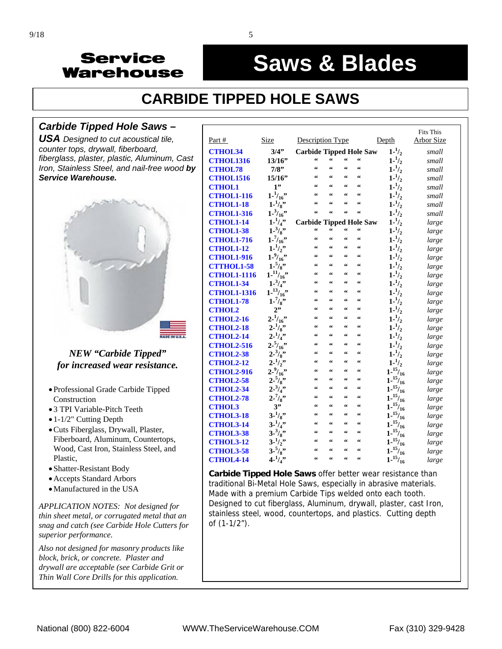#### į **Saws & Blades**

# **CARBIDE TIPPED HOLE SAWS**

#### *Carbide Tipped Hole Saws* **–**

*USA Designed to cut acoustical tile, counter tops, drywall, fiberboard, fiberglass, plaster, plastic, Aluminum, Cast Iron, Stainless Steel, and nail-free wood by Service Warehouse.* 



#### *NEW "Carbide Tipped" for increased wear resistance.*

- Professional Grade Carbide Tipped Construction
- 3 TPI Variable-Pitch Teeth
- 1-1/2" Cutting Depth
- Cuts Fiberglass, Drywall, Plaster, Fiberboard, Aluminum, Countertops, Wood, Cast Iron, Stainless Steel, and Plastic,
- Shatter-Resistant Body
- Accepts Standard Arbors
- Manufactured in the USA

*APPLICATION NOTES: Not designed for thin sheet metal, or corrugated metal that an snag and catch (see Carbide Hole Cutters for superior performance.* 

*Also not designed for masonry products like block, brick, or concrete. Plaster and drywall are acceptable (see Carbide Grit or Thin Wall Core Drills for this application.*

|                    |                     |                                                  |                                                  |                                                  |                                                  |                     | <b>Fits This</b> |
|--------------------|---------------------|--------------------------------------------------|--------------------------------------------------|--------------------------------------------------|--------------------------------------------------|---------------------|------------------|
| Part #             | <b>Size</b>         | Description Type                                 |                                                  |                                                  |                                                  | Depth               | Arbor Size       |
| <b>CTHOL34</b>     | 3/4"                | <b>Carbide Tipped Hole Saw</b>                   |                                                  |                                                  |                                                  | $1 - \frac{1}{2}$   | small            |
| <b>CTHOL1316</b>   | 13/16"              | 66                                               | 66                                               | 66                                               | $\zeta\,\zeta$                                   | $1 - \frac{1}{2}$   | small            |
| <b>CTHOL78</b>     | 7/8"                | 66                                               | 66                                               | 66                                               | $\boldsymbol{\zeta}\boldsymbol{\zeta}$           | $1 - \frac{1}{2}$   | small            |
| <b>CTHOL1516</b>   | 15/16"              | 66                                               | $\boldsymbol{\zeta} \boldsymbol{\zeta}$          | 66                                               | $\zeta \zeta$                                    | $1 - \frac{1}{2}$   | small            |
| <b>CTHOL1</b>      | 1"                  | 66                                               | $\boldsymbol{\zeta}\boldsymbol{\zeta}$           | $\epsilon\, \epsilon$                            | $\boldsymbol{\zeta}\boldsymbol{\zeta}$           | $1 - \frac{1}{2}$   | small            |
| <b>CTHOL1-116</b>  | $1 - \frac{1}{16}$  | 66                                               | $\epsilon$                                       | 66                                               | $\boldsymbol{\zeta} \, \boldsymbol{\zeta}$       | $1 - \frac{1}{2}$   | small            |
| <b>CTHOL1-18</b>   | $1 - \frac{1}{8}$   | 66                                               | $\epsilon$                                       | $\epsilon$                                       | $\boldsymbol{\zeta}\boldsymbol{\zeta}$           | $1 - \frac{1}{2}$   | small            |
| <b>CTHOL1-316</b>  | $1 - \frac{3}{16}$  | $\epsilon$                                       | 66                                               | 66                                               | 66                                               | $1 - \frac{1}{2}$   | small            |
| <b>CTHOL1-14</b>   | $1 - \frac{1}{4}$   | <b>Carbide Tipped Hole Saw</b>                   |                                                  |                                                  |                                                  | $1 - \frac{1}{2}$   | large            |
| <b>CTHOL1-38</b>   | $1 - \frac{3}{8}$ " | $\boldsymbol{\varsigma}\,\boldsymbol{\varsigma}$ | $\boldsymbol{\varsigma}\,\boldsymbol{\varsigma}$ | $\boldsymbol{\varsigma}\,\boldsymbol{\varsigma}$ | $\boldsymbol{\varsigma}\,\boldsymbol{\varsigma}$ | $1 - \frac{1}{2}$   | large            |
| <b>CTHOL1-716</b>  | $1 - \frac{7}{16}$  | 66                                               | 66                                               | $\zeta\,\zeta$                                   | 66                                               | $1 - \frac{1}{2}$   | large            |
| <b>CTHOL1-12</b>   | $1 - \frac{1}{2}$   | 66                                               | $\boldsymbol{\varsigma}\,\boldsymbol{\varsigma}$ | $\epsilon$                                       | $\boldsymbol{\varsigma}\,\boldsymbol{\varsigma}$ | $1 - \frac{1}{2}$   | large            |
| <b>CTHOL1-916</b>  | $1 - \frac{9}{16}$  | 66                                               | 66                                               | 66                                               | $\epsilon$                                       | $1 - \frac{1}{2}$   | large            |
| <b>CTTHOL1-58</b>  | $1 - \frac{5}{8}$   | 66                                               | $\epsilon$                                       | 66                                               | $\epsilon$                                       | $1 - \frac{1}{2}$   | large            |
| <b>CTHOL1-1116</b> | $1^{-11}/16$ "      | 66                                               | 66                                               | $\epsilon$                                       | $\epsilon$                                       | $1 - \frac{1}{2}$   | large            |
| <b>CTHOL1-34</b>   | $1 - \frac{3}{4}$   | 66                                               | $\epsilon$                                       | $\epsilon$                                       | $\epsilon$                                       | $1 - \frac{1}{2}$   | large            |
| <b>CTHOL1-1316</b> | 1.13/16             | 66                                               | $\epsilon$                                       | $\epsilon$                                       | $\epsilon$                                       | $1 - \frac{1}{2}$   | large            |
| <b>CTHOL1-78</b>   | $1 - \frac{7}{8}$   | 66                                               | 66                                               | 66                                               | 66                                               | $1 - \frac{1}{2}$   | large            |
| <b>CTHOL2</b>      | 2"                  | 66                                               | $\zeta \zeta$                                    | $\epsilon$                                       | $\zeta \zeta$                                    | $1 - \frac{1}{2}$   | large            |
| <b>CTHOL2-16</b>   | $2 - \frac{1}{16}$  | 66                                               | $\boldsymbol{\varsigma}\,\boldsymbol{\varsigma}$ | 66                                               | 66                                               | $1 - \frac{1}{2}$   | large            |
| <b>CTHOL2-18</b>   | $2 - \frac{1}{8}$   | 66                                               | 66                                               | $\epsilon$                                       | $\boldsymbol{\varsigma}\,\boldsymbol{\varsigma}$ | $1 - \frac{1}{2}$   | large            |
| <b>CTHOL2-14</b>   | $2 - \frac{1}{4}$   | 66                                               | 66                                               | 66                                               | 66                                               | $1 - \frac{1}{2}$   | large            |
| <b>CTHOL2-516</b>  | $2 - \frac{5}{16}$  | 66                                               | 66                                               | $\epsilon$                                       | $\boldsymbol{\zeta}\boldsymbol{\zeta}$           | $1 - \frac{1}{2}$   | large            |
| <b>CTHOL2-38</b>   | $2 - \frac{3}{8}$   | 66                                               | 66                                               | $\epsilon$                                       | 66                                               | $1 - \frac{1}{2}$   | large            |
| <b>CTHOL2-12</b>   | $2 - \frac{1}{2}$   | 66                                               | $\epsilon$                                       | $\boldsymbol{\zeta} \, \boldsymbol{\zeta}$       | 66                                               | $1 - \frac{1}{2}$   | large            |
| <b>CTHOL2-916</b>  | $2 - \frac{9}{16}$  | $\boldsymbol{\varsigma}\,\boldsymbol{\varsigma}$ | 66                                               | $\boldsymbol{\zeta} \boldsymbol{\zeta}$          | $\epsilon$                                       | $1 - \frac{15}{16}$ | large            |
| <b>CTHOL2-58</b>   | $2 - \frac{5}{8}$   | 66                                               | $\boldsymbol{\varsigma}$                         | $\boldsymbol{\varsigma}\,\boldsymbol{\varsigma}$ | $\epsilon$                                       | $1 - \frac{15}{16}$ | large            |
| <b>CTHOL2-34</b>   | $2 - \frac{3}{4}$   | $\boldsymbol{\varsigma}\,\boldsymbol{\varsigma}$ | 66                                               | $\epsilon$                                       | 66                                               | $1 - \frac{15}{16}$ | large            |
| <b>CTHOL2-78</b>   | $2 - \frac{7}{8}$   | 66                                               | $\boldsymbol{\zeta}\boldsymbol{\zeta}$           | 66                                               | $\boldsymbol{\zeta}\boldsymbol{\zeta}$           | 1.15/16             | large            |
| <b>CTHOL3</b>      | 3"                  | 66                                               | $\textsf{G}\,\textsf{G}$                         | $\boldsymbol{\varsigma}\,\boldsymbol{\varsigma}$ | $\boldsymbol{\zeta}\boldsymbol{\zeta}$           | 1.15/16             | large            |
| <b>CTHOL3-18</b>   | $3 - \frac{1}{8}$   | 66                                               | $\boldsymbol{\zeta}\boldsymbol{\zeta}$           | $\epsilon$                                       | 66                                               | $1 - \frac{15}{16}$ | large            |
| <b>CTHOL3-14</b>   | $3 - \frac{1}{4}$   | 66                                               | 66                                               | 66                                               | 66                                               | $1 - \frac{15}{16}$ | large            |
| <b>CTHOL3-38</b>   | $3 - \frac{3}{8}$   | 66                                               | 66                                               | 66                                               | 66                                               | $1 - \frac{15}{16}$ | large            |
| <b>CTHOL3-12</b>   | $3 - \frac{1}{2}$   | 66                                               | 66                                               | $\epsilon$                                       | 66                                               | $1 - \frac{15}{16}$ | large            |
| <b>CTHOL3-58</b>   | $3 - \frac{5}{8}$   | 66                                               | 66                                               | 66                                               | $\boldsymbol{\zeta}\boldsymbol{\zeta}$           | 1.15/16             | large            |
| <b>CTHOL4-14</b>   | $4 - \frac{1}{4}$   | $\boldsymbol{\varsigma}\,\boldsymbol{\varsigma}$ | $\boldsymbol{\varsigma}$                         | 66                                               | 66                                               | $1^{-15}/_{16}$     | large            |

**Carbide Tipped Hole Saws** offer better wear resistance than traditional Bi-Metal Hole Saws, especially in abrasive materials. Made with a premium Carbide Tips welded onto each tooth. Designed to cut fiberglass, Aluminum, drywall, plaster, cast Iron, stainless steel, wood, countertops, and plastics. Cutting depth of (1-1/2").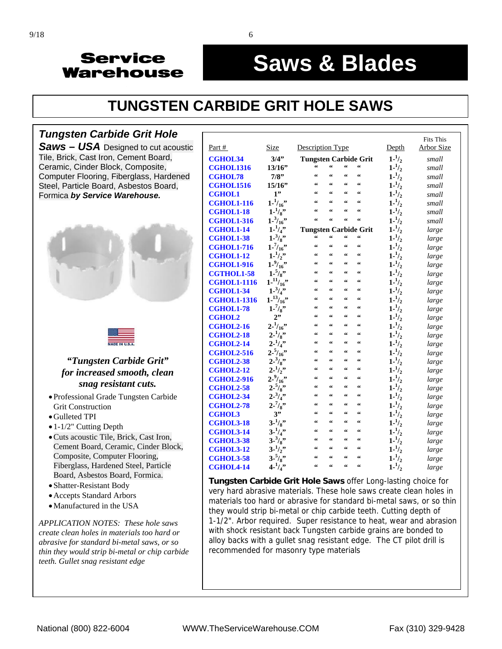#### į **Saws & Blades**

# **[TUNGSTEN CARBIDE GRIT HOLE SAWS](http://www.servicewarehouse.net/mm5/merchant.mvc?Screen=CTGY&Store_Code=OC&Category_Code=FOCCGHS)**

#### *Tungsten Carbide Grit Hole*

*Saws* **–** *USA* Designed to cut acoustic Tile, Brick, Cast Iron, Cement Board, Ceramic, Cinder Block, Composite, Computer Flooring, Fiberglass, Hardened Steel, Particle Board, Asbestos Board, Formica *by Service Warehouse.*





#### *"Tungsten Carbide Grit" for increased smooth, clean snag resistant cuts.*

- Professional Grade Tungsten Carbide Grit Construction
- Gulleted TPI
- 1-1/2" Cutting Depth
- Cuts acoustic Tile, Brick, Cast Iron, Cement Board, Ceramic, Cinder Block, Composite, Computer Flooring, Fiberglass, Hardened Steel, Particle Board, Asbestos Board, Formica.
- Shatter-Resistant Body
- Accepts Standard Arbors
- Manufactured in the USA

*APPLICATION NOTES: These hole saws create clean holes in materials too hard or abrasive for standard bi-metal saws, or so thin they would strip bi-metal or chip carbide teeth. Gullet snag resistant edge* 

|                    |                     |                                                  |                                         |                          |                                                  |                   | <b>Fits This</b> |
|--------------------|---------------------|--------------------------------------------------|-----------------------------------------|--------------------------|--------------------------------------------------|-------------------|------------------|
| Part #             | Size                | Description Type                                 |                                         |                          |                                                  | Depth             | Arbor Size       |
| <b>CGHOL34</b>     | 3/4"                | <b>Tungsten Carbide Grit</b>                     |                                         |                          |                                                  | $1 - \frac{1}{2}$ | small            |
| <b>CGHOL1316</b>   | 13/16"              | 66                                               | $\boldsymbol{\zeta} \boldsymbol{\zeta}$ | 66                       | $\zeta \zeta$                                    | $1 - \frac{1}{2}$ | small            |
| <b>CGHOL78</b>     | 7/8"                | $\textsf{G}\,\textsf{G}$                         | $\textsf{G}\,\textsf{G}$                | 66                       | 66                                               | $1 - \frac{1}{2}$ | small            |
| <b>CGHOL1516</b>   | 15/16"              | $\boldsymbol{\zeta}\boldsymbol{\zeta}$           | $\boldsymbol{\zeta}\boldsymbol{\zeta}$  | 66                       | $\boldsymbol{\zeta}\boldsymbol{\zeta}$           | $1 - \frac{1}{2}$ | small            |
| <b>CGHOL1</b>      | 1"                  | 66                                               | $\boldsymbol{\zeta} \boldsymbol{\zeta}$ | 66                       | $\zeta\,\zeta$                                   | $1 - \frac{1}{2}$ | small            |
| <b>CGHOL1-116</b>  | $1 - \frac{1}{16}$  | 66                                               | 66                                      | 66                       | $\boldsymbol{\zeta}\boldsymbol{\zeta}$           | $1 - \frac{1}{2}$ | small            |
| <b>CGHOL1-18</b>   | $1 - \frac{1}{8}$   | 66                                               | $\epsilon$                              | $\epsilon$               | $\zeta \zeta$                                    | $1 - \frac{1}{2}$ | small            |
| <b>CGHOL1-316</b>  | $1 - \frac{3}{16}$  | $\zeta\,\zeta$                                   | 66                                      | 66                       | 66                                               | $1 - \frac{1}{2}$ | small            |
| <b>CGHOL1-14</b>   | $1 - \frac{1}{4}$   | <b>Tungsten Carbide Grit</b>                     |                                         |                          |                                                  | $1 - \frac{1}{2}$ | large            |
| <b>CGHOL1-38</b>   | $1 - \frac{3}{8}$   | $\boldsymbol{\zeta}\boldsymbol{\zeta}$           | $\epsilon$                              | $\epsilon$               | $\boldsymbol{\varsigma}$                         | $1 - \frac{1}{2}$ | large            |
| <b>CGHOL1-716</b>  | $1 - \frac{7}{16}$  | $\zeta\,\zeta$                                   | $\epsilon$                              | 66                       | 66                                               | $1 - \frac{1}{2}$ | large            |
| <b>CGHOL1-12</b>   | $1 - \frac{1}{2}$   | $\boldsymbol{\zeta}\boldsymbol{\zeta}$           | $\epsilon$                              | $\epsilon$               | $\zeta \zeta$                                    | $1 - \frac{1}{2}$ | large            |
| <b>CGHOL1-916</b>  | $1 - \frac{9}{16}$  | $\zeta\,\zeta$                                   | $\epsilon$                              | $\epsilon$               | $\zeta \zeta$                                    | $1 - \frac{1}{2}$ | large            |
| <b>CGTHOL1-58</b>  | $1 - \frac{5}{8}$   | $\boldsymbol{\zeta}\boldsymbol{\zeta}$           | 66                                      | 66                       | $\zeta\,\zeta$                                   | $1 - \frac{1}{2}$ | large            |
| <b>CGHOL1-1116</b> | $1^{-11}/_{16}$ "   | $\zeta\,\zeta$                                   | $\boldsymbol{\zeta} \boldsymbol{\zeta}$ | 66                       | 66                                               | $1 - \frac{1}{2}$ | large            |
| <b>CGHOL1-34</b>   | $1 - \frac{3}{4}$   | 66                                               | $\epsilon$                              | $\epsilon$               | 66                                               | $1 - \frac{1}{2}$ | large            |
| <b>CGHOL1-1316</b> | $1 - \frac{13}{16}$ | 66                                               | $\epsilon$                              | $\epsilon$               | $\boldsymbol{\zeta}\boldsymbol{\zeta}$           | $1 - \frac{1}{2}$ | large            |
| <b>CGHOL1-78</b>   | $1 - \frac{7}{8}$   | 66                                               | 66                                      | $\epsilon$               | $\boldsymbol{\varsigma}$                         | $1 - \frac{1}{2}$ | large            |
| <b>CGHOL2</b>      | 2"                  | 66                                               | $\boldsymbol{\zeta} \boldsymbol{\zeta}$ | 66                       | $\zeta\,\zeta$                                   | $1 - \frac{1}{2}$ | large            |
| <b>CGHOL2-16</b>   | $2^{-1/16}$         | 66                                               | $\boldsymbol{\zeta} \boldsymbol{\zeta}$ | $\epsilon$               | 66                                               | $1 - \frac{1}{2}$ | large            |
| <b>CGHOL2-18</b>   | $2 - \frac{1}{8}$   | 66                                               | $\epsilon$                              | $\epsilon$               | $\boldsymbol{\zeta}\boldsymbol{\zeta}$           | $1 - \frac{1}{2}$ | large            |
| <b>CGHOL2-14</b>   | $2^{-1}/4$ "        | 66                                               | $\epsilon$                              | $\epsilon$               | $\zeta \zeta$                                    | $1 - \frac{1}{2}$ | large            |
| <b>CGHOL2-516</b>  | $2 - \frac{5}{16}$  | 66                                               | $\epsilon$                              | $\epsilon$               | $\boldsymbol{\zeta}\boldsymbol{\zeta}$           | $1 - \frac{1}{2}$ | large            |
| <b>CGHOL2-38</b>   | $2 - \frac{3}{8}$   | $\zeta\,\zeta$                                   | $\epsilon$                              | $\epsilon$               | 66                                               | $1 - \frac{1}{2}$ | large            |
| <b>CGHOL2-12</b>   | $2 - \frac{1}{2}$   | 66                                               | $\epsilon$                              | $\boldsymbol{\varsigma}$ | $\zeta\,\zeta$                                   | $1 - \frac{1}{2}$ | large            |
| <b>CGHOL2-916</b>  | $2 - \frac{9}{16}$  | $\zeta\,\zeta$                                   | 66                                      | $\epsilon$               | $\zeta \zeta$                                    | $1 - \frac{1}{2}$ | large            |
| <b>CGHOL2-58</b>   | $2 - \frac{5}{8}$   | $\zeta\,\zeta$                                   | $\zeta\,\zeta$                          | $\boldsymbol{\varsigma}$ | $\zeta\,\zeta$                                   | $1 - \frac{1}{2}$ | large            |
| <b>CGHOL2-34</b>   | $2 - \frac{3}{4}$   | $\textsf{G}\,\textsf{G}$                         | $\epsilon$                              | 66                       | $\boldsymbol{\varsigma}\,\boldsymbol{\varsigma}$ | $1 - \frac{1}{2}$ | large            |
| <b>CGHOL2-78</b>   | $2 - \frac{7}{8}$   | $\zeta\,\zeta$                                   | 66                                      | $\epsilon$               | 66                                               | $1 - \frac{1}{2}$ | large            |
| <b>CGHOL3</b>      | 3"                  | $\textsf{G}\,\textsf{G}$                         | $\zeta \zeta$                           | 66                       | 66                                               | $1 - \frac{1}{2}$ | large            |
| <b>CGHOL3-18</b>   | $3 - \frac{1}{8}$   | $\zeta\,\zeta$                                   | 66                                      | 66                       | $\zeta\,\zeta$                                   | $1 - \frac{1}{2}$ | large            |
| <b>CGHOL3-14</b>   | $3 - \frac{1}{4}$   | $\epsilon$                                       | 66                                      | $\epsilon$               | $\boldsymbol{\zeta}\boldsymbol{\zeta}$           | $1 - \frac{1}{2}$ | large            |
| <b>CGHOL3-38</b>   | $3 - \frac{3}{8}$   | $\zeta\,\zeta$                                   | $\boldsymbol{\zeta} \boldsymbol{\zeta}$ | 66                       | 66                                               | $1 - \frac{1}{2}$ | large            |
| <b>CGHOL3-12</b>   | $3 - \frac{1}{2}$   | $\boldsymbol{\varsigma}\,\boldsymbol{\varsigma}$ | $\epsilon$                              | $\epsilon$               | $\boldsymbol{\zeta}\boldsymbol{\zeta}$           | $1 - \frac{1}{2}$ | large            |
| <b>CGHOL3-58</b>   | 3.5/8               | 66                                               | 66                                      | $\epsilon$               | $\boldsymbol{\varsigma}$                         | $1 - \frac{1}{2}$ | large            |
| <b>CGHOL4-14</b>   | $4 - \frac{1}{4}$   | $\boldsymbol{\varsigma}\,\boldsymbol{\varsigma}$ | $\epsilon$                              | $\epsilon$               | $\boldsymbol{\varsigma}$                         | $1 - \frac{1}{2}$ | large            |

**Tungsten Carbide Grit Hole Saws** offer Long-lasting choice for very hard abrasive materials. These hole saws create clean holes in materials too hard or abrasive for standard bi-metal saws, or so thin they would strip bi-metal or chip carbide teeth. Cutting depth of 1-1/2". Arbor required. Super resistance to heat, wear and abrasion with shock resistant back Tungsten carbide grains are bonded to alloy backs with a gullet snag resistant edge. The CT pilot drill is recommended for masonry type materials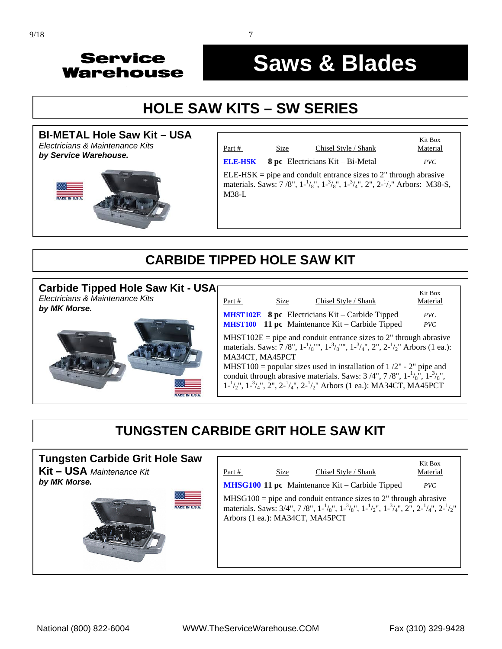#### į **Saws & Blades**

# **[HOLE SAW KITS – SW SERIES](http://www.servicewarehouse.net/mm5/merchant.mvc?Screen=CTGY&Store_Code=OC&Category_Code=FOCHOLESAWSETS)**





| Part #         | Size | Chisel Style / Shank                                                                                                                                                          | Kit Box<br>Material |
|----------------|------|-------------------------------------------------------------------------------------------------------------------------------------------------------------------------------|---------------------|
| <b>ELE-HSK</b> |      | 8 pc Electricians Kit – Bi-Metal                                                                                                                                              | PVC                 |
| $M38-L$        |      | $ELE-HSK =$ pipe and conduit entrance sizes to 2" through abrasive<br>materials. Saws: 7/8", $1^{-1}/_8$ ", $1^{-3}/_8$ ", $1^{-3}/_4$ ", $2$ ", $2^{-1}/_2$ " Arbors: M38-S, |                     |

## **CARBIDE TIPPED HOLE SAW KIT**

| Carbide Tipped Hole Saw Kit - USA<br>Electricians & Maintenance Kits |                 | Size     | Chisel Style / Shank                                                                                                                                                                                                                                                                                                                                                                                                                                         | Kit Box    |
|----------------------------------------------------------------------|-----------------|----------|--------------------------------------------------------------------------------------------------------------------------------------------------------------------------------------------------------------------------------------------------------------------------------------------------------------------------------------------------------------------------------------------------------------------------------------------------------------|------------|
| by MK Morse.                                                         | Part #          | Material |                                                                                                                                                                                                                                                                                                                                                                                                                                                              |            |
|                                                                      |                 |          | <b>MHST102E</b> 8 pc Electricians Kit – Carbide Tipped<br><b>MHST100</b> 11 pc Maintenance Kit – Carbide Tipped                                                                                                                                                                                                                                                                                                                                              | PVC<br>PVC |
|                                                                      | MA34CT, MA45PCT |          | $MHST102E =$ pipe and conduit entrance sizes to 2" through abrasive<br>materials. Saws: 7/8", $1^{-1}/8$ "", $1^{-3}/8$ "", $1^{-3}/4$ ", $2$ ", $2^{-1}/2$ " Arbors (1 ea.):<br>MHST100 = popular sizes used in installation of $1/2$ " - 2" pipe and<br>conduit through abrasive materials. Saws: $3/4$ ", $7/8$ ", $1-\frac{1}{8}$ ", $1-\frac{3}{8}$ ",<br>$1^{-1}/2$ ", $1^{-3}/4$ ", $2$ ", $2^{-1}/4$ ", $2^{-1}/2$ " Arbors (1 ea.): MA34CT, MA45PCT |            |

### **TUNGSTEN CARBIDE GRIT HOLE SAW KIT**

| <b>Tungsten Carbide Grit Hole Saw</b><br>Kit - USA Maintenance Kit | Part #                          | Size | Chisel Style / Shank                                                                                                                                                                               | Kit Box<br>Material |
|--------------------------------------------------------------------|---------------------------------|------|----------------------------------------------------------------------------------------------------------------------------------------------------------------------------------------------------|---------------------|
| by MK Morse.                                                       |                                 |      | MHSG100 11 pc Maintenance Kit – Carbide Tipped                                                                                                                                                     | PVC                 |
| ADE IN U.S.                                                        | Arbors (1 ea.): MA34CT, MA45PCT |      | $MHSG100 =$ pipe and conduit entrance sizes to 2" through abrasive<br>materials. Saws: 3/4", 7/8", $1^{-1}/_8$ ", $1^{-3}/_8$ ", $1^{-1}/_2$ ", $1^{-3}/_4$ ", $2$ ", $2^{-1}/_4$ ", $2^{-1}/_2$ " |                     |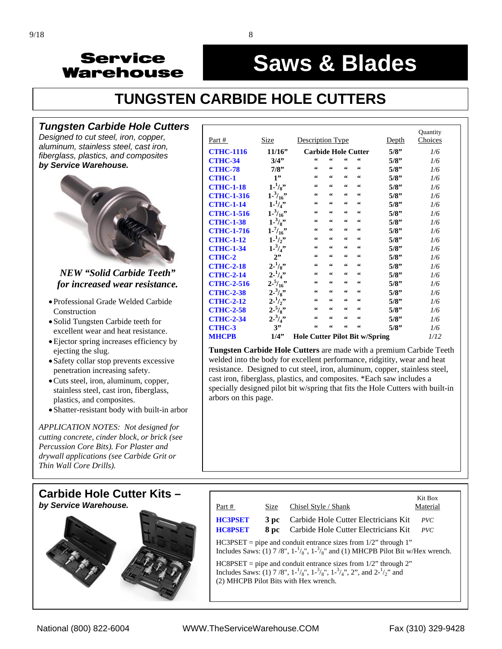#### į **Saws & Blades**

# **TUNGSTEN CARBIDE HOLE CUTTERS**

#### *[Tungsten Carbide Hole Cutters](http://www.servicewarehouse.net/mm5/merchant.mvc?Screen=CTGY&Store_Code=OC&Category_Code=FOCCARBIDEHC)*

*Designed to cut steel, iron, copper, aluminum, stainless steel, cast iron, fiberglass, plastics, and composites by Service Warehouse.*



#### *NEW "Solid Carbide Teeth" for increased wear resistance.*

- Professional Grade Welded Carbide Construction
- Solid Tungsten Carbide teeth for excellent wear and heat resistance.
- Ejector spring increases efficiency by ejecting the slug.
- Safety collar stop prevents excessive penetration increasing safety.
- Cuts steel, iron, aluminum, copper, stainless steel, cast iron, fiberglass, plastics, and composites.
- Shatter-resistant body with built-in arbor

*APPLICATION NOTES: Not designed for cutting concrete, cinder block, or brick (see Percussion Core Bits). For Plaster and drywall applications (see Carbide Grit or Thin Wall Core Drills).* 



| Part #            | <b>Size</b>        | Description Type                       |                                        |                                        |            | <u>Depth</u> | Quantity<br>Choices |
|-------------------|--------------------|----------------------------------------|----------------------------------------|----------------------------------------|------------|--------------|---------------------|
|                   |                    |                                        |                                        |                                        |            |              |                     |
| <b>CTHC-1116</b>  | 11/16"             | <b>Carbide Hole Cutter</b>             |                                        |                                        |            | 5/8"         | 1/6                 |
| <b>CTHC-34</b>    | 3/4"               | 66                                     | 66                                     | 66                                     | 66         | 5/8"         | 1/6                 |
| <b>CTHC-78</b>    | 7/8"               | $\boldsymbol{\zeta}\boldsymbol{\zeta}$ | $\textsf{G}\,\textsf{G}$               | $\epsilon$                             | 66         | 5/8"         | 1/6                 |
| <b>CTHC-1</b>     | 1"                 | 66                                     | $\textsf{G}\,\textsf{G}$               | $\textsf{G}\,\textsf{G}$               | 66         | 5/8"         | 1/6                 |
| <b>CTHC-1-18</b>  | $1 - \frac{1}{8}$  | $\boldsymbol{\zeta}\boldsymbol{\zeta}$ | $\textsf{G}\,\textsf{G}$               | $\boldsymbol{\zeta}\boldsymbol{\zeta}$ | 66         | 5/8"         | 1/6                 |
| <b>CTHC-1-316</b> | $1 - \frac{3}{16}$ | $\boldsymbol{\zeta}\boldsymbol{\zeta}$ | $\textsf{G}\,\textsf{G}$               | $\boldsymbol{\zeta}\boldsymbol{\zeta}$ | 66         | 5/8"         | 1/6                 |
| <b>CTHC-1-14</b>  | $1 - \frac{1}{4}$  | $\boldsymbol{\zeta}\boldsymbol{\zeta}$ | $\epsilon\epsilon$                     | $\boldsymbol{\zeta}\boldsymbol{\zeta}$ | 66         | 5/8"         | 1/6                 |
| <b>CTHC-1-516</b> | $1 - \frac{3}{16}$ | $\boldsymbol{\zeta}\boldsymbol{\zeta}$ | $\epsilon\epsilon$                     | $\boldsymbol{\zeta}\boldsymbol{\zeta}$ | 66         | 5/8"         | 1/6                 |
| <b>CTHC-1-38</b>  | $1 - \frac{3}{8}$  | $\boldsymbol{\zeta}\boldsymbol{\zeta}$ | $\boldsymbol{\zeta}\boldsymbol{\zeta}$ | $\boldsymbol{\zeta}\boldsymbol{\zeta}$ | 66         | 5/8"         | 1/6                 |
| <b>CTHC-1-716</b> | $1 - \frac{7}{16}$ | $\boldsymbol{\zeta}\boldsymbol{\zeta}$ | $\textsf{G}\,\textsf{G}$               | $\boldsymbol{\zeta}\boldsymbol{\zeta}$ | $\epsilon$ | 5/8"         | 1/6                 |
| <b>CTHC-1-12</b>  | $1 - \frac{1}{2}$  | $\boldsymbol{\zeta}\boldsymbol{\zeta}$ | $\boldsymbol{\zeta}\boldsymbol{\zeta}$ | $\boldsymbol{\zeta}\boldsymbol{\zeta}$ | 66         | 5/8"         | 1/6                 |
| <b>CTHC-1-34</b>  | $1 - \frac{3}{4}$  | $\boldsymbol{\zeta}\boldsymbol{\zeta}$ | $\boldsymbol{\zeta}\boldsymbol{\zeta}$ | $\boldsymbol{\zeta}\boldsymbol{\zeta}$ | 66         | 5/8"         | 1/6                 |
| <b>CTHC-2</b>     | 2"                 | $\boldsymbol{\zeta}\boldsymbol{\zeta}$ | $\zeta\,\zeta$                         | $\boldsymbol{\zeta}\boldsymbol{\zeta}$ | 66         | 5/8"         | 1/6                 |
| <b>CTHC-2-18</b>  | $2 - \frac{1}{8}$  | $\boldsymbol{\zeta}\boldsymbol{\zeta}$ | $\textsf{G}\,\textsf{G}$               | $\boldsymbol{\zeta}\boldsymbol{\zeta}$ | $\epsilon$ | 5/8"         | 1/6                 |
| <b>CTHC-2-14</b>  | $2 - \frac{1}{4}$  | $\textsf{G}\,\textsf{G}$               | $\epsilon\epsilon$                     | $\boldsymbol{\zeta}\boldsymbol{\zeta}$ | 66         | 5/8"         | 1/6                 |
| <b>CTHC-2-516</b> | $2 - \frac{5}{16}$ | $\boldsymbol{\zeta}\boldsymbol{\zeta}$ | $\textsf{G}\,\textsf{G}$               | $\zeta\zeta$                           | 66         | 5/8"         | 1/6                 |
| <b>CTHC-2-38</b>  | $2 - \frac{3}{8}$  | $\boldsymbol{\zeta}\boldsymbol{\zeta}$ | $\boldsymbol{\zeta}\boldsymbol{\zeta}$ | $\boldsymbol{\zeta}\boldsymbol{\zeta}$ | 66         | 5/8"         | 1/6                 |
| <b>CTHC-2-12</b>  | $2 - \frac{1}{2}$  | $\textsf{G}\,\textsf{G}$               | $\epsilon\epsilon$                     | $\textsf{G}\,\textsf{G}$               | 66         | 5/8"         | 1/6                 |
| <b>CTHC-2-58</b>  | $2 - \frac{5}{8}$  | $\boldsymbol{\zeta}\boldsymbol{\zeta}$ | $\epsilon\epsilon$                     | $\textsf{G}\,\textsf{G}$               | 66         | 5/8"         | 1/6                 |
| <b>CTHC-2-34</b>  | $2 - \frac{3}{4}$  | $\textsf{G}\,\textsf{G}$               | $\textsf{G}\,\textsf{G}$               | $\boldsymbol{\zeta}\boldsymbol{\zeta}$ | 66         | 5/8"         | 1/6                 |
| <b>CTHC-3</b>     | 3"                 | $\textsf{G}\,\textsf{G}$               | $\zeta\,\zeta$                         | 66                                     | 66         | 5/8"         | 1/6                 |
| <b>MHCPB</b>      | 1/4"               | 1/12                                   |                                        |                                        |            |              |                     |

**Tungsten Carbide Hole Cutters** are made with a premium Carbide Teeth welded into the body for excellent performance, ridgitity, wear and heat resistance. Designed to cut steel, iron, aluminum, copper, stainless steel, cast iron, fiberglass, plastics, and composites. \*Each saw includes a specially designed pilot bit w/spring that fits the Hole Cutters with built-in arbors on this page.

| Part #                                                                                                                                                                                                       | Size         | Chisel Style / Shank                                                         | Kit Box<br>Material |  |  |  |  |
|--------------------------------------------------------------------------------------------------------------------------------------------------------------------------------------------------------------|--------------|------------------------------------------------------------------------------|---------------------|--|--|--|--|
| <b>HC3PSET</b><br><b>HC8PSET</b>                                                                                                                                                                             | 3 pc<br>8 pc | Carbide Hole Cutter Electricians Kit<br>Carbide Hole Cutter Electricians Kit | PVC<br>PVC          |  |  |  |  |
| $HC3PSET$ = pipe and conduit entrance sizes from $1/2$ " through 1"<br>Includes Saws: (1) 7/8", $1-\frac{1}{8}$ ", $1-\frac{3}{8}$ " and (1) MHCPB Pilot Bit w/Hex wrench.                                   |              |                                                                              |                     |  |  |  |  |
| $HC8PSET$ = pipe and conduit entrance sizes from 1/2" through 2"<br>Includes Saws: (1) 7/8", $1^{-1}/_8$ ", $1^{-3}/_8$ ", $1^{-3}/_4$ ", 2", and $2^{-1}/_2$ " and<br>(2) MHCPB Pilot Bits with Hex wrench. |              |                                                                              |                     |  |  |  |  |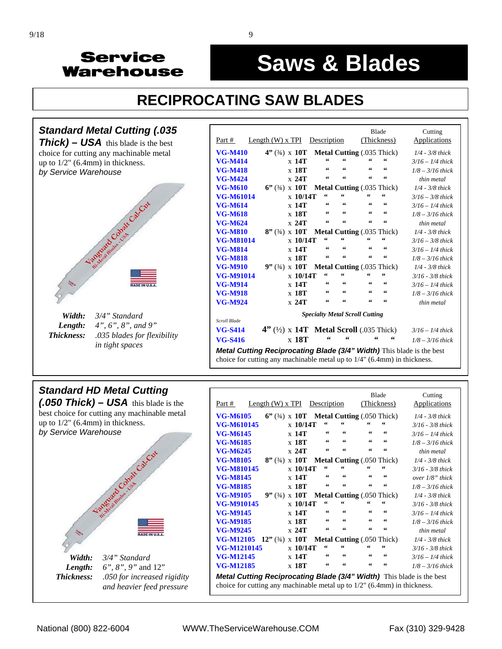#### ì **Saws & Blades**

# **RECIPROCATING SAW BLADES**



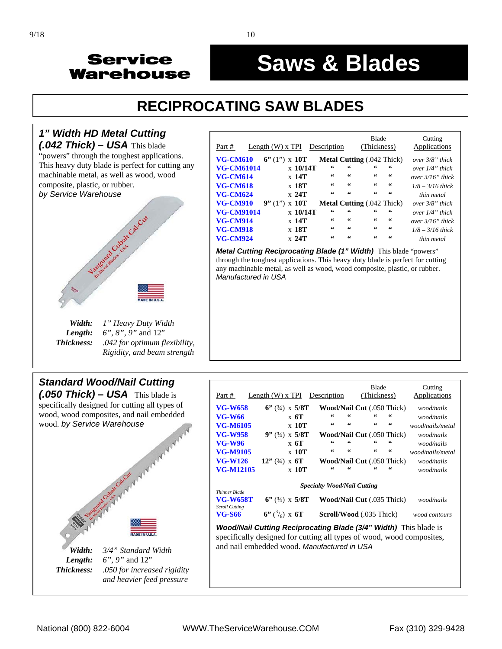#### ì **Saws & Blades**

# **RECIPROCATING SAW BLADES**



| Part #            | Length $(W)$ x TPI    |                                  | Description |                    | (Thickness)                       |    | Applications        |
|-------------------|-----------------------|----------------------------------|-------------|--------------------|-----------------------------------|----|---------------------|
| <b>VG-CM610</b>   | $6''(1'') \times 10T$ |                                  |             |                    | <b>Metal Cutting (.042 Thick)</b> |    | over $3/8$ " thick  |
| <b>VG-CM61014</b> |                       | $\boldsymbol{\mathrm{x}}$ 10/14T | 66          | 66                 | 66                                | 66 | over $1/4$ " thick  |
| <b>VG-CM614</b>   |                       | $x$ 14T                          | 66          | 66                 | 66                                | 66 | over $3/16$ " thick |
| <b>VG-CM618</b>   |                       | x 18T                            | 66          | 66                 | 66                                | 66 | $1/8 - 3/16$ thick  |
| <b>VG-CM624</b>   |                       | x 24T                            | 66          | 66                 | 66                                | 66 | thin metal          |
| <b>VG-CM910</b>   | 9''(1'')              | $\boldsymbol{\mathrm{x}}$ 10T    |             |                    | <b>Metal Cutting (.042 Thick)</b> |    | over $3/8$ " thick  |
| <b>VG-CM91014</b> |                       | $\boldsymbol{\mathrm{x}}$ 10/14T | 66          | 66                 | 66                                | 66 | over $1/4$ " thick  |
| <b>VG-CM914</b>   |                       | $x$ 14T                          | 66          | 66                 | 66                                | 66 | over $3/16$ " thick |
| <b>VG-CM918</b>   |                       | x 18T                            | 66          | $\epsilon\epsilon$ | 66                                | 66 | $1/8 - 3/16$ thick  |
| <b>VG-CM924</b>   |                       | x 24T                            | 66          | 66                 | 66                                | 66 | thin metal          |
|                   |                       |                                  |             |                    |                                   |    |                     |

*Metal Cutting Reciprocating Blade (1" Width)* This blade "powers" through the toughest applications. This heavy duty blade is perfect for cutting any machinable metal, as well as wood, wood composite, plastic, or rubber.



 *Thickness: .042 for optimum flexibility,* 

 *Rigidity, and beam strength*

| Part #                                                                                                                                                                                                 | Length $(W)$ x TPI        | Description                                          | <b>Blade</b><br>(Thickness)                      |                          | Cutting<br><b>Applications</b> |  |  |
|--------------------------------------------------------------------------------------------------------------------------------------------------------------------------------------------------------|---------------------------|------------------------------------------------------|--------------------------------------------------|--------------------------|--------------------------------|--|--|
| <b>VG-W658</b>                                                                                                                                                                                         | $6''$ (3/4) x 5/8T        |                                                      | <b>Wood/Nail Cut</b> (.050 Thick)                |                          | wood/nails                     |  |  |
| <b>VG-W66</b>                                                                                                                                                                                          | $\boldsymbol{x}$ 6T       | 66<br>66                                             | 66                                               | $\textsf{G}\,\textsf{G}$ | wood/nails                     |  |  |
| <b>VG-M6105</b>                                                                                                                                                                                        | x 10T                     | $\epsilon\epsilon$<br>$\textsf{G}\,\textsf{G}$       | $\boldsymbol{\varsigma}\,\boldsymbol{\varsigma}$ | $\epsilon\epsilon$       | wood/nails/metal               |  |  |
| <b>VG-W958</b>                                                                                                                                                                                         | $9''$ (3/4) x 5/8T        |                                                      | <b>Wood/Nail Cut</b> (.050 Thick)                |                          | wood/nails                     |  |  |
| <b>VG-W96</b>                                                                                                                                                                                          | $\boldsymbol{x}$ 6T       | 66<br>66                                             | $\zeta \zeta$                                    | $\textsf{G}\,\textsf{G}$ | wood/nails                     |  |  |
| VG-M9105                                                                                                                                                                                               | x 10T                     | $\textsf{G}\,\textsf{G}$<br>$\textsf{G}\,\textsf{G}$ | $\boldsymbol{\varsigma}\,\boldsymbol{\varsigma}$ | $\epsilon\epsilon$       | wood/nails/metal               |  |  |
| <b>VG-W126</b>                                                                                                                                                                                         | $12"$ (3/4) x 6T          |                                                      | <b>Wood/Nail Cut</b> (.050 Thick)                |                          | wood/nails                     |  |  |
| <b>VG-M12105</b>                                                                                                                                                                                       | $x$ 10T                   | 66                                                   | "                                                | "                        | wood/nails                     |  |  |
| <b>Specialty Wood/Nail Cutting</b><br>Thinner Blade<br><b>VG-W658T</b><br>$6''$ (3/4) x 5/8T<br><b>Wood/Nail Cut</b> (.035 Thick)<br>wood/nails<br><b>Scroll Cutting</b>                               |                           |                                                      |                                                  |                          |                                |  |  |
| <b>VG-S66</b>                                                                                                                                                                                          | $6''$ $\binom{3}{8}$ x 6T |                                                      | Scroll/Wood (.035 Thick)                         |                          | wood contours                  |  |  |
| <b>Wood/Nail Cutting Reciprocating Blade (3/4" Width)</b> This blade is<br>specifically designed for cutting all types of wood, wood composites,<br>and nail embedded wood. <i>Manufactured in USA</i> |                           |                                                      |                                                  |                          |                                |  |  |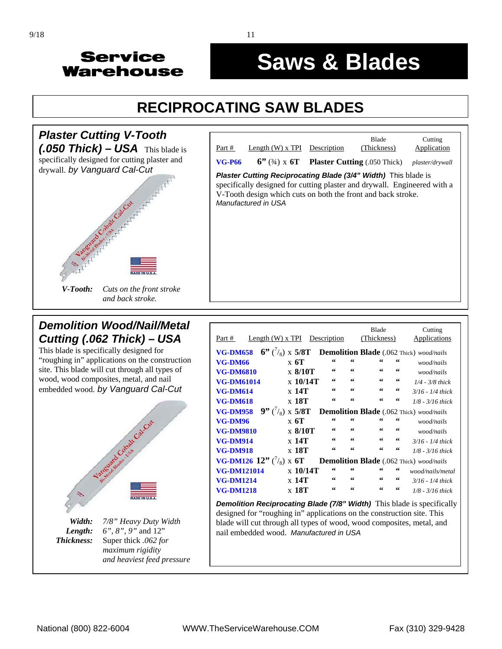#### ì **Saws & Blades**

# **RECIPROCATING SAW BLADES**



# **Blade** Cutting Part # Length (W) x TPI Description (Thickness) Application **VG-P66 6"** (¾) x **6T Plaster Cutting** (.050 Thick) *plaster/drywall* **Plaster Cutting Reciprocating Blade (3/4" Width)** This blade is specifically designed for cutting plaster and drywall. Engineered with a V-Tooth design which cuts on both the front and back stroke. *Manufactured in USA*

#### *Demolition Wood/Nail/Metal Cutting (.062 Thick)* **–** *USA*

This blade is specifically designed for "roughing in" applications on the construction site. This blade will cut through all types of wood, wood composites, metal, and nail embedded wood. *by Vanguard Cal-Cut*



*Length: 6", 8", 9"* and 12"  *Thickness:* Super thick *.062 for maximum rigidity and heaviest feed pressure* 

|                                      |            |             | <b>Blade</b>             |        | Cutting                                                                                                                                                                                      |
|--------------------------------------|------------|-------------|--------------------------|--------|----------------------------------------------------------------------------------------------------------------------------------------------------------------------------------------------|
| Length $(W)$ x TPI                   |            |             |                          |        | Applications                                                                                                                                                                                 |
|                                      |            |             |                          |        |                                                                                                                                                                                              |
| $\boldsymbol{x}$ 6T                  | 66         | 66          | 66                       | 66     | wood/nails                                                                                                                                                                                   |
| $\times 8/10T$                       | 66         | 66          | 66                       | 66     | wood/nails                                                                                                                                                                                   |
| $\rm x$ 10/14T                       | 66         | 66          | 66                       | 66     | $1/4 - 3/8$ thick                                                                                                                                                                            |
| x 14T                                | 66         | 66          | 66                       | $\,66$ | $3/16 - 1/4$ thick                                                                                                                                                                           |
| x 18T                                | 66         | 66          | 66                       | 66     | $1/8 - 3/16$ thick                                                                                                                                                                           |
| $9''$ $\binom{7}{8}$ x 5/8T          |            |             |                          |        |                                                                                                                                                                                              |
| $\times$ 6T                          | $\epsilon$ | 66          | 66                       | 66     | wood/nails                                                                                                                                                                                   |
| $\times 8/10T$                       | 66         | 66          | 66                       | 66     | wood/nails                                                                                                                                                                                   |
| $x\;14$ T                            | 66         | 66          | 66                       | 66     | $3/16 - 1/4$ thick                                                                                                                                                                           |
| x 18T                                | 66         | 66          | $\textsf{6}\,\textsf{6}$ | 66     | $1/8 - 3/16$ thick                                                                                                                                                                           |
| <b>VG-DM126</b> 12" $(^{7}_{8}$ x 6T |            |             |                          |        |                                                                                                                                                                                              |
| $\rm x$ 10/14T                       | 66         | 66          | 66                       | 66     | wood/nails/metal                                                                                                                                                                             |
| $x\;14$ T                            | 66         | 66          | 66                       | 66     | $3/16 - 1/4$ thick                                                                                                                                                                           |
| $x$ 18T                              | 66         | 66          | 66                       | 66     | $1/8 - 3/16$ thick                                                                                                                                                                           |
|                                      |            | Description |                          |        | (Thickness)<br>$6''$ ( $\frac{7}{8}$ ) x 5/8T Demolition Blade (.062 Thick) wood/nails<br><b>Demolition Blade</b> (.062 Thick) wood/nails<br><b>Demolition Blade</b> (.062 Thick) wood/nails |

*Demolition Reciprocating Blade (7/8" Width)* This blade is specifically designed for "roughing in" applications on the construction site. This blade will cut through all types of wood, wood composites, metal, and nail embedded wood. *Manufactured in USA*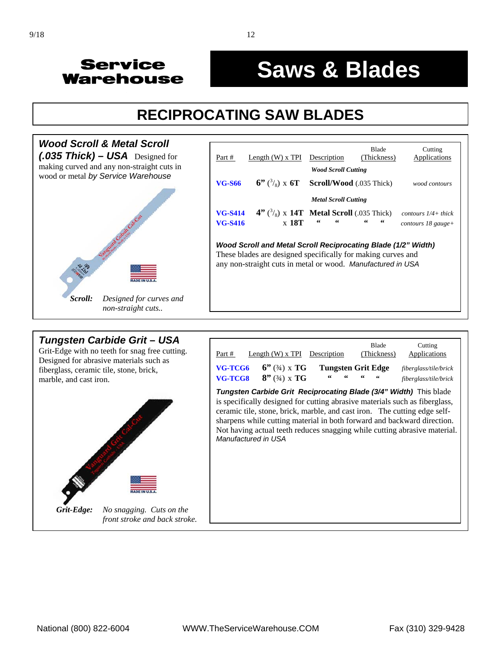#### ľ **Saws & Blades**

# **RECIPROCATING SAW BLADES**



#### *Tungsten Carbide Grit* **–** *USA*

Grit-Edge with no teeth for snag free cutting. Designed for abrasive materials such as fiberglass, ceramic tile, stone, brick, marble, and cast iron.



| Part #              | Length $(W)$ x TPI Description       |    | <b>Blade</b><br>(Thickness) | Cutting<br>Applications                                                                                                                                                                                                                                                                                                                                                                      |
|---------------------|--------------------------------------|----|-----------------------------|----------------------------------------------------------------------------------------------------------------------------------------------------------------------------------------------------------------------------------------------------------------------------------------------------------------------------------------------------------------------------------------------|
| VG-TCG6<br>VG-TCG8  | $6''$ (3/4) x TG<br>$8''$ (3/4) x TG | 66 | Tungsten Grit Edge          | fiberglass/tile/brick<br>fiberglass/tile/brick                                                                                                                                                                                                                                                                                                                                               |
| Manufactured in USA |                                      |    |                             | <b>Tungsten Carbide Grit Reciprocating Blade (3/4" Width)</b> This blade<br>is specifically designed for cutting abrasive materials such as fiberglass,<br>ceramic tile, stone, brick, marble, and cast iron. The cutting edge self-<br>sharpens while cutting material in both forward and backward direction.<br>Not having actual teeth reduces snagging while cutting abrasive material. |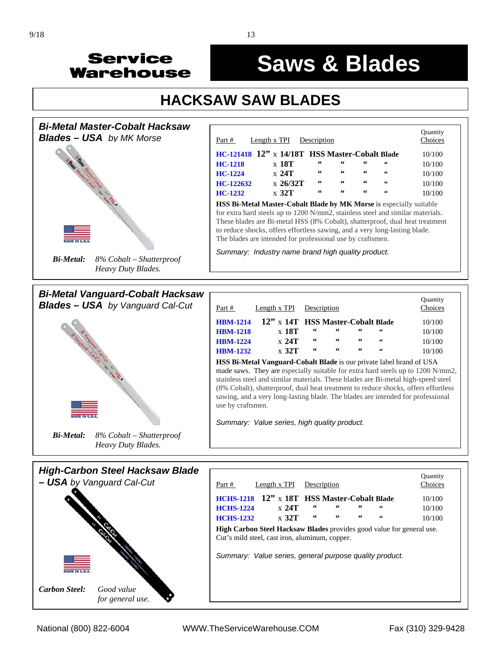



# **Saws & Blades**

# **HACKSAW SAW BLADES**



**High Carbon Steel Hacksaw Blades** provides good value for general use. Cut's mild steel, cast iron, aluminum, copper.

*Summary: Value series, general purpose quality product.*

*Carbon Steel: Good value* 

*for general use.*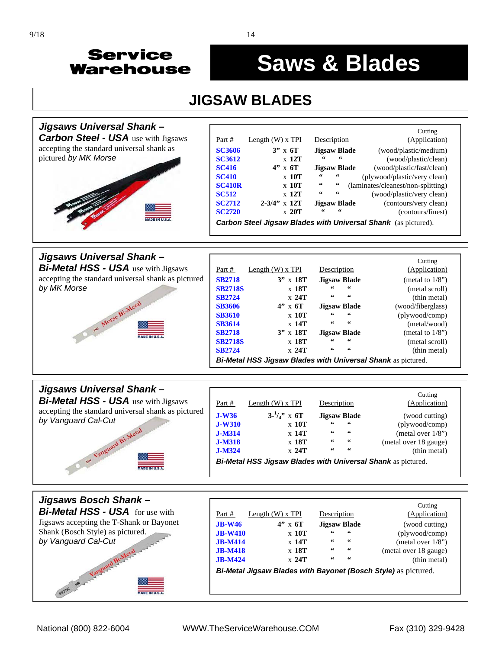#### j **Saws & Blades**

## **JIGSAW BLADES**